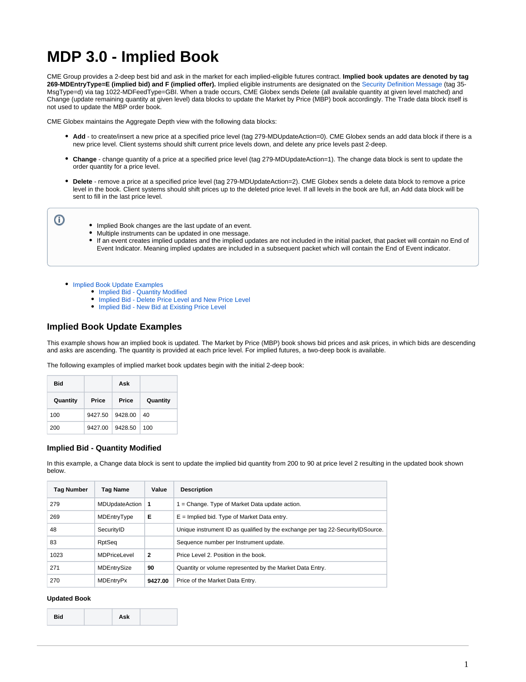# **MDP 3.0 - Implied Book**

CME Group provides a 2-deep best bid and ask in the market for each implied-eligible futures contract. **Implied book updates are denoted by tag 269-MDEntryType=E (implied bid) and F (implied offer).** Implied eligible instruments are designated on the [Security Definition Message](https://www.cmegroup.com/confluence/display/EPICSANDBOX/MDP+3.0+-+Security+Definition) (tag 35- MsgType=d) via tag 1022-MDFeedType=GBI. When a trade occurs, CME Globex sends Delete (all available quantity at given level matched) and Change (update remaining quantity at given level) data blocks to update the Market by Price (MBP) book accordingly. The Trade data block itself is not used to update the MBP order book.

CME Globex maintains the Aggregate Depth view with the following data blocks:

- **Add** to create/insert a new price at a specified price level (tag 279-MDUpdateAction=0). CME Globex sends an add data block if there is a new price level. Client systems should shift current price levels down, and delete any price levels past 2-deep.
- **Change** change quantity of a price at a specified price level (tag 279-MDUpdateAction=1). The change data block is sent to update the order quantity for a price level.
- **Delete** remove a price at a specified price level (tag 279-MDUpdateAction=2). CME Globex sends a delete data block to remove a price level in the book. Client systems should shift prices up to the deleted price level. If all levels in the book are full, an Add data block will be sent to fill in the last price level.

ത

- Implied Book changes are the last update of an event.
- $\bullet$ Multiple instruments can be updated in one message.
- $\bullet$ If an event creates implied updates and the implied updates are not included in the initial packet, that packet will contain no End of Event Indicator. Meaning implied updates are included in a subsequent packet which will contain the End of Event indicator.

• [Implied Book Update Examples](#page-0-0)

- [Implied Bid Quantity Modified](#page-0-1)
	- [Implied Bid Delete Price Level and New Price Level](#page-1-0)
	- [Implied Bid New Bid at Existing Price Level](#page-1-1)

# <span id="page-0-0"></span>**Implied Book Update Examples**

This example shows how an implied book is updated. The Market by Price (MBP) book shows bid prices and ask prices, in which bids are descending and asks are ascending. The quantity is provided at each price level. For implied futures, a two-deep book is available.

The following examples of implied market book updates begin with the initial 2-deep book:

| Bid      |         | Ask     |          |
|----------|---------|---------|----------|
| Quantity | Price   | Price   | Quantity |
| 100      | 9427.50 | 9428.00 | 40       |
| 200      | 9427.00 | 9428.50 | 100      |

## <span id="page-0-1"></span>**Implied Bid - Quantity Modified**

In this example, a Change data block is sent to update the implied bid quantity from 200 to 90 at price level 2 resulting in the updated book shown below.

| <b>Tag Number</b> | <b>Tag Name</b>     | Value          | <b>Description</b>                                                               |
|-------------------|---------------------|----------------|----------------------------------------------------------------------------------|
| 279               | MDUpdateAction      | -1             | $1 =$ Change. Type of Market Data update action.                                 |
| 269               | MDEntryType         | Е              | $E =$ Implied bid. Type of Market Data entry.                                    |
| 48                | SecurityID          |                | Unique instrument ID as qualified by the exchange per tag 22-Security ID Source. |
| 83                | RptSeq              |                | Sequence number per Instrument update.                                           |
| 1023              | <b>MDPriceLevel</b> | $\overline{2}$ | Price Level 2. Position in the book.                                             |
| 271               | MDEntrySize         | 90             | Quantity or volume represented by the Market Data Entry.                         |
| 270               | <b>MDEntryPx</b>    | 9427.00        | Price of the Market Data Entry.                                                  |

#### **Updated Book**

| <b>Bid</b> | Ask |  |
|------------|-----|--|
|------------|-----|--|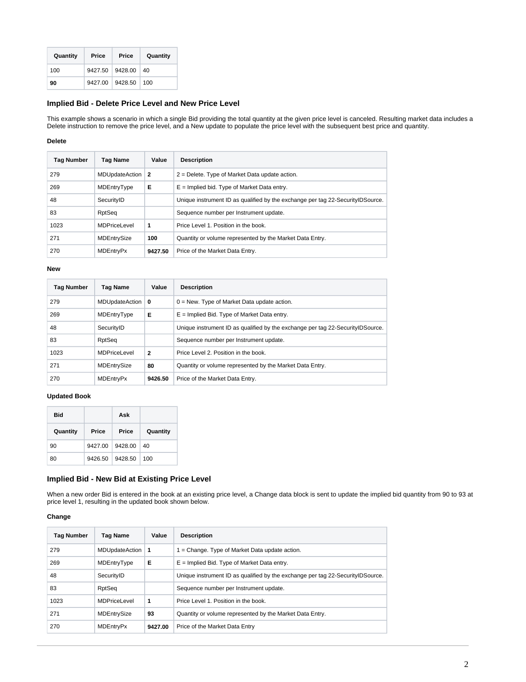| Quantity | Price           | Price | Quantity    |
|----------|-----------------|-------|-------------|
| 100      | 9427.50 9428.00 |       | $\vert$ 40  |
| 90       | 9427.00 9428.50 |       | $\vert$ 100 |

# <span id="page-1-0"></span>**Implied Bid - Delete Price Level and New Price Level**

This example shows a scenario in which a single Bid providing the total quantity at the given price level is canceled. Resulting market data includes a Delete instruction to remove the price level, and a New update to populate the price level with the subsequent best price and quantity.

## **Delete**

| Tag Number | Tag Name            | Value   | <b>Description</b>                                                               |
|------------|---------------------|---------|----------------------------------------------------------------------------------|
| 279        | MDUpdateAction      | 2       | $2$ = Delete. Type of Market Data update action.                                 |
| 269        | MDEntryType         | Е       | $E =$ Implied bid. Type of Market Data entry.                                    |
| 48         | SecurityID          |         | Unique instrument ID as qualified by the exchange per tag 22-Security ID Source. |
| 83         | RptSeq              |         | Sequence number per Instrument update.                                           |
| 1023       | <b>MDPriceLevel</b> | 1       | Price Level 1. Position in the book.                                             |
| 271        | MDEntrySize         | 100     | Quantity or volume represented by the Market Data Entry.                         |
| 270        | <b>MDEntryPx</b>    | 9427.50 | Price of the Market Data Entry.                                                  |

#### **New**

| Tag Number | Tag Name            | Value          | <b>Description</b>                                                               |
|------------|---------------------|----------------|----------------------------------------------------------------------------------|
| 279        | MDUpdateAction      | 0              | $0 =$ New. Type of Market Data update action.                                    |
| 269        | MDEntryType         | Е              | $E =$ Implied Bid. Type of Market Data entry.                                    |
| 48         | SecurityID          |                | Unique instrument ID as qualified by the exchange per tag 22-Security ID Source. |
| 83         | RptSeq              |                | Sequence number per Instrument update.                                           |
| 1023       | <b>MDPriceLevel</b> | $\overline{2}$ | Price Level 2. Position in the book.                                             |
| 271        | MDEntrySize         | 80             | Quantity or volume represented by the Market Data Entry.                         |
| 270        | <b>MDEntryPx</b>    | 9426.50        | Price of the Market Data Entry.                                                  |

### **Updated Book**

| Bid      |         | Ask     |          |
|----------|---------|---------|----------|
| Quantity | Price   | Price   | Quantity |
| 90       | 9427.00 | 9428.00 | 40       |
| 80       | 9426.50 | 9428.50 | 100      |

# <span id="page-1-1"></span>**Implied Bid - New Bid at Existing Price Level**

When a new order Bid is entered in the book at an existing price level, a Change data block is sent to update the implied bid quantity from 90 to 93 at price level 1, resulting in the updated book shown below.

## **Change**

| <b>Tag Number</b> | <b>Tag Name</b> | Value   | <b>Description</b>                                                               |
|-------------------|-----------------|---------|----------------------------------------------------------------------------------|
| 279               | MDUpdateAction  | -1      | $1 =$ Change. Type of Market Data update action.                                 |
| 269               | MDEntryType     | Е       | $E =$ Implied Bid. Type of Market Data entry.                                    |
| 48                | SecurityID      |         | Unique instrument ID as qualified by the exchange per tag 22-Security ID Source. |
| 83                | RptSeq          |         | Sequence number per Instrument update.                                           |
| 1023              | MDPriceLevel    | 1       | Price Level 1. Position in the book.                                             |
| 271               | MDEntrySize     | 93      | Quantity or volume represented by the Market Data Entry.                         |
| 270               | MDEntryPx       | 9427.00 | Price of the Market Data Entry                                                   |